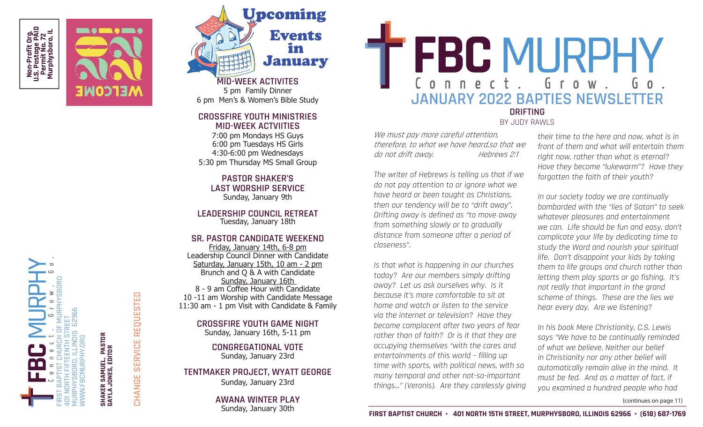





## **CROSSFIRE YOUTH MINISTRIESMID-WEEK ACTVIITIES**

7:00 pm Mondays HS Guys 6:00 pm Tuesdays HS Girls 4:30-6:00 pm Wednesdays 5:30 pm Thursday MS Small Group

**PASTOR SHAKER'S LAST WORSHIP SERVICE**Sunday, January 9th

**LEADERSHIP COUNCIL RETREAT**Tuesday, January 18th

## **SR. PASTOR CANDIDATE WEEKEND**

Friday, January 14th, 6-8 pm Leadership Council Dinner with Candidate Saturday, January 15th, 10 am - 2 pm Brunch and Q & A with Candidate Sunday, January 16th 8 - 9 am Coffee Hour with Candidate 10 -11 am Worship with Candidate Message 11:30 am - 1 pm Visit with Candidate & Family

**CROSSFIRE YOUTH GAME NIGHT**

Sunday, January 16th, 5-11 pm

**CONGREGATIONAL VOTE**Sunday, January 23rd

## **TENTMAKER PROJECT, WYATT GEORGE** Sunday, January 23rd

**AWANA WINTER PLAY**Sunday, January 30th

FBC MURPHY **JANUARY 2022 BAPTIES NEWSLETTER DRIFTING** 

BY JUDY RAWLS

We must pay more careful attention, therefore, to what we have heard,so that we do not drift away. Hebrews 2:1

The writer of Hebrews is telling us that if we do not pay attention to or ignore what we have heard or been taught as Christians, then our tendency will be to "drift away". Drifting away is defined as "to move away from something slowly or to gradually distance from someone after a period of closeness".

Is that what is happening in our churches today? Are our members simply drifting away? Let us ask ourselves why. Is it because it's more comfortable to sit at home and watch or listen to the service via the internet or television? Have they become complacent after two years of fear rather than of faith? Or is it that they are occupying themselves "with the cares and entertainments of this world – filling up time with sports, with political news, with so many temporal and other not-so-important things…" (Veronis). Are they carelessly giving their time to the here and now, what is in front of them and what will entertain them right now, rather than what is eternal? Have they become "lukewarm"? Have they forgotten the faith of their youth?

In our society today we are continually bombarded with the "lies of Satan" to seek whatever pleasures and entertainment we can. Life should be fun and easy, don't complicate your life by dedicating time to study the Word and nourish your spiritual life. Don't disappoint your kids by taking them to life groups and church rather than letting them play sports or go fishing. It's not really that important in the grand scheme of things. These are the lies we hear every day. Are we listening?

In his book Mere Christianity, C.S. Lewis says "We have to be continually reminded of what we believe. Neither our belief in Christianity nor any other belief will automatically remain alive in the mind. It must be fed. And as a matter of fact, if you examined a hundred people who had

(continues on page 11)

401 NORTH FIFTEENTH STREET MURPHYSBORO, ILLINOIS 62966 WWW.FBCMURPHY.ORG

FIRST BAPTIST CHURCH OF MURPHYSBORO

R SAMUEL, PASTOR<br>JONES, EDITOR **SHAKER SAMUEL, PASTOR GAYLA JONES, EDITOR SHAKEI<br>GAYLA**  **CHANGE SERVICE REQUESTED**

CHANGE

SERVICE REQUESTED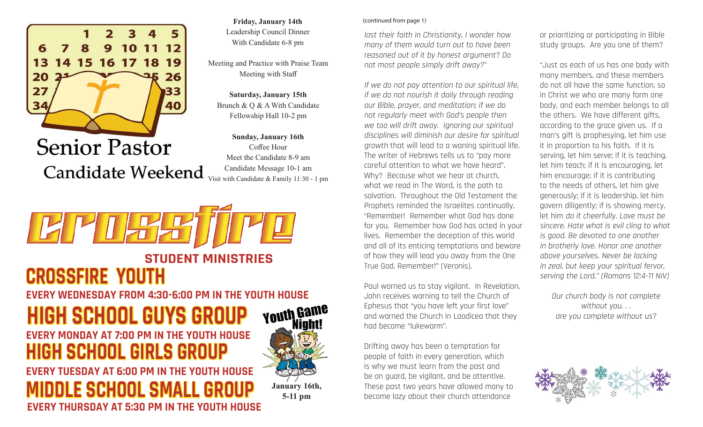

**Senior Pastor Candidate Weekend** 

**Friday, January 14th** Leadership Council Dinner With Candidate 6-8 pm

Meeting and Practice with Praise Team Meeting with Sta ff

**Saturday, January 15th** Brunch & Q & A With Candidate Fellowship Hall 10-2 pm

**Sunday, January 16th** Coffee Hour Meet the Candidate 8-9 amCandidate Message 10-1 am Visit with Candidate & Family 11:30 - 1 pm



**EVERY THURSDAY AT 5:30 PM IN THE YOUTH HOUSE**



#### (continued from page 1)

lost their faith in Christianity, I wonder how many of them would turn out to have been reasoned out of it by honest argument? Do not most people simply drift away?"

If we do not pay attention to our spiritual life, if we do not nourish it daily through reading our Bible, prayer, and meditation; if we do not regularly meet with God's people then we too will drift away. Ignoring our spiritual disciplines will diminish our desire for spiritual growth that will lead to a waning spiritual life. The writer of Hebrews tells us to "pay more careful attention to what we have heard". Why? Because what we hear at church, what we read in The Word, is the path to salvation. Throughout the Old Testament the Prophets reminded the Israelites continually, "Remember! Remember what God has done for you. Remember how God has acted in your lives. Remember the deception of this world and all of its enticing temptations and beware of how they will lead you away from the One True God. Remember!" (Veronis).

Paul warned us to stay vigilant. In Revelation, John receives warning to tell the Church of Ephesus that "you have left your first love" and warned the Church in Laodicea that they had become "lukewarm".

Drifting away has been a temptation for people of faith in every generation, which is why we must learn from the past and be on guard, be vigilant, and be attentive. These past two years have allowed many to become lazy about their church attendance

or prioritizing or participating in Bible study groups. Are you one of them?

"Just as each of us has one body with many members, and these members do not all have the same function, so in Christ we who are many form one body, and each member belongs to all the others. We have different gifts, according to the grace given us. If a man's gift is prophesying, let him use it in proportion to his faith. If it is serving, let him serve; if it is teaching, let him teach; if it is encouraging, let him encourage; if it is contributing to the needs of others, let him give generously; if it is leadership, let him govern diligently; if is showing mercy, let him do it cheerfully. Love must be sincere. Hate what is evil cling to what is good. Be devoted to one another in brotherly love. Honor one another above yourselves. Never be lacking in zeal, but keep your spiritual fervor, serving the Lord." (Romans 12:4-11 NIV)

Our church body is not complete without you. . . are you complete without us?

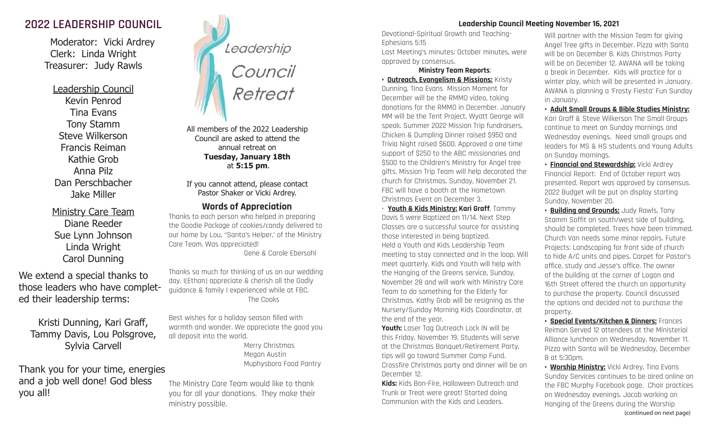# **2022 LEADERSHIP COUNCIL**

 Moderator: Vicki Ardrey Clerk: Linda Wright Treasurer: Judy Rawls

Leadership Council Kevin PenrodTina EvansTony Stamm Steve WilkersonFrancis ReimanKathie GrobAnna PilzDan PerschbacherJake Miller

Ministry Care Team Diane ReederSue Lynn Johnson Linda Wright Carol Dunning

We extend a special thanks to those leaders who have completed their leadership terms:

Kristi Dunning, Kari Gra ff , Tammy Davis, Lou Polsgrove, Sylvia Carvell

Thank you for your time, energies and a job well done! God bless you all!



All members of the 2022 Leadership Council are asked to attend the annual retreat on **Tuesday, January 18th** at **5:15 pm**.

If you cannot attend, please contact Pastor Shaker or Vicki Ardrey.

# **Words of Appreciation**

Thanks to each person who helped in preparing the Goodie Package of cookies/candy delivered to our home by Lou, "Santa's Helper,' of the Ministry Care Team. Was appreciated! Gene & Carole Ebersohl

Thanks so much for thinking of us on our wedding day. I(Ethan) appreciate & cherish all the Godly guidance & family I experienced while at FBC. The Cooks

Best wishes for a holiday season filled with warmth and wonder. We appreciate the good you all deposit into the world.

 Merry Christmas Megan Austin Muphysboro Food Pantry

The Ministry Care Team would like to thank you for all your donations. They make their ministry possible.

## **Leadership Council Meeting November 16, 2021**

Devotional-Spiritual Growth and Teaching-Ephesians 5:15 Last Meeting's minutes: October minutes, were approved by consensus.

### **Ministry Team Reports**: **• Outreach, Evangelism & Missions: Kristy**

Dunning, Tina Evans Mission Moment for December will be the RMMO video, taking donations for the RMMO in December. January MM will be the Tent Project, Wyatt George will speak. Summer 2022 Mission Trip fundraisers, Chicken & Dumpling Dinner raised \$950 and Trivia Night raised \$600. Approved a one time support of \$250 to the ABC missionaries and \$500 to the Children's Ministry for Angel tree gifts. Mission Trip Team will help decorated the church for Christmas, Sunday, November 21. FBC will have a booth at the Hometown Christmas Event on December 3.

• **Youth & Kids Ministry: Kari Graff**, Tammy Davis 5 were Baptized on 11/14. Next Step Classes are a successful source for assisting those interested in being baptized. Held a Youth and Kids Leadership Team meeting to stay connected and in the loop. Will meet quarterly. Kids and Youth will help with the Hanging of the Greens service, Sunday, November 28 and will work with Ministry Care Team to do something for the Elderly for Christmas. Kathy Grob will be resigning as the Nursery/Sunday Morning Kids Coordinator, at the end of the year.

**Youth:** Laser Tag Outreach Lock IN will be this Friday, November 19. Students will serve at the Christmas Banquet/Retirement Party, tips will go toward Summer Camp Fund. Crossfire Christmas party and dinner will be on December 12.

**Kids:** Kids Bon-Fire, Halloween Outreach and Trunk or Treat were great! Started doing Communion with the Kids and Leaders.

Will partner with the Mission Team for giving Angel Tree gifts in December. Pizza with Santa will be on December 8. Kids Christmas Party will be on December 12. AWANA will be taking a break in December. Kids will practice for a winter play, which will be presented in January. AWANA is planning a 'Frosty Fiesta' Fun Sunday in January.

**• Adult Small Groups & Bible Studies Ministry:** Kari Graff & Steve Wilkerson The Small Groups continue to meet on Sunday mornings and Wednesday evenings. Need small groups and leaders for MS & HS students and Young Adults on Sunday mornings.

**• Financial and Stewardship:** Vicki Ardrey Financial Report: End of October report was presented. Report was approved by consensus. 2022 Budget will be put on display starting Sunday, November 20.

**• Building and Grounds:** Judy Rawls, Tony Stamm Soffit on south/west side of building, should be completed. Trees have been trimmed. Church Van needs some minor repairs. Future Projects: Landscaping for front side of church to hide A/C units and pipes. Carpet for Pastor's office, study and Jesse's office. The owner of the building at the corner of Logan and 16th Street offered the church an opportunity to purchase the property. Council discussed the options and decided not to purchase the property.

**• Special Events/Kitchen & Dinners:** Frances Reiman Served 12 attendees at the Ministerial Alliance luncheon on Wednesday, November 11. Pizza with Santa will be Wednesday, December 8 at 5:30pm.

**• Worship Ministry:** Vicki Ardrey, Tina Evans Sunday Services continues to be aired online on the FBC Murphy Facebook page. Choir practices on Wednesday evenings. Jacob working on Hanging of the Greens during the Worship (continued on next page)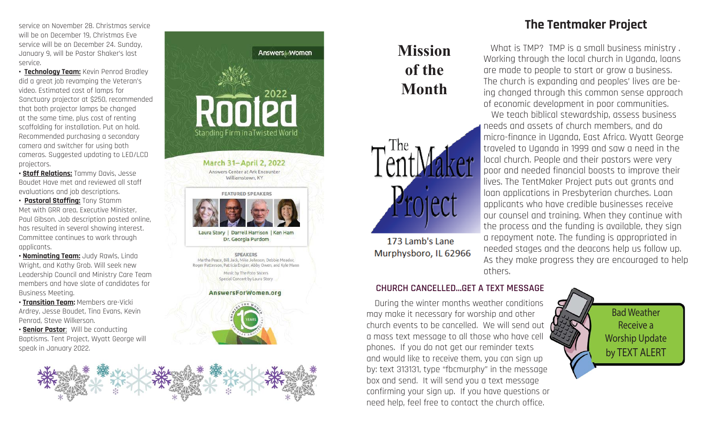service on November 28. Christmas service will be on December 19, Christmas Eve service will be on December 24. Sunday, January 9, will be Pastor Shaker's last service.

**• Technology Team:** Kevin Penrod Bradley did a great job revamping the Veteran's video. Estimated cost of lamps for Sanctuary projector at \$250, recommended that both projector lamps be changed at the same time, plus cost of renting scaffolding for installation. Put on hold. Recommended purchasing a secondary camera and switcher for using both cameras. Suggested updating to LED/LCD projectors.

**• Staff Relations:** Tammy Davis, Jesse Boudet Have met and reviewed all staff evaluations and job descriptions.

**• Pastoral Staffing:** Tony Stamm Met with GRR area, Executive Minister, Paul Gibson. Job description posted online, has resulted in several showing interest. Committee continues to work through applicants.

**• Nominating Team:** Judy Rawls, Linda Wright, and Kathy Grob. Will seek new Leadership Council and Ministry Care Team members and have slate of candidates for Business Meeting.

**• Transition Team:** Members are-Vicki Ardrey, Jesse Boudet, Tina Evans, Kevin Penrod, Steve Wilkerson. **• Senior Pastor**: Will be conducting

Baptisms. Tent Project, Wyatt George will speak in January 2022.





Laura Story | Darrell Harrison | Ken Ham Dr. Georgia Purdom

**SPEAKERS** Martha Peace, Bill Jack, Mike Johnson, Debbie Meador Roger Patterson, Patricia Engler, Abby Owen, and Kyle Mann Music by The Foto Sisters Special Concert by Laura Story

AnswersForWomen.org





# **Missionof the Month**



173 Lamb's Lane Murphysboro, IL 62966

# **CHURCH CANCELLED...GET A TEXT MESSAGE**

 During the winter months weather conditions may make it necessary for worship and other church events to be cancelled. We will send out a mass text message to all those who have cell phones. If you do not get our reminder texts and would like to receive them, you can sign up by: text 313131, type "fbcmurphy" in the message box and send. It will send you a text message confirming your sign up. If you have questions or need help, feel free to contact the church office.

# **The Tentmaker Project**

 What is TMP? TMP is a small business ministry . Working through the local church in Uganda, loans are made to people to start or grow a business. The church is expanding and peoples' lives are being changed through this common sense approach of economic development in poor communities.

 We teach biblical stewardship, assess business needs and assets of church members, and do micro-finance in Uganda, East Africa. Wyatt George traveled to Uganda in 1999 and saw a need in the local church. People and their pastors were very poor and needed financial boosts to improve their lives. The TentMaker Project puts out grants and loan applications in Presbyterian churches. Loan applicants who have credible businesses receive our counsel and training. When they continue with the process and the funding is available, they sign a repayment note. The funding is appropriated in needed stages and the deacons help us follow up. As they make progress they are encouraged to help others.

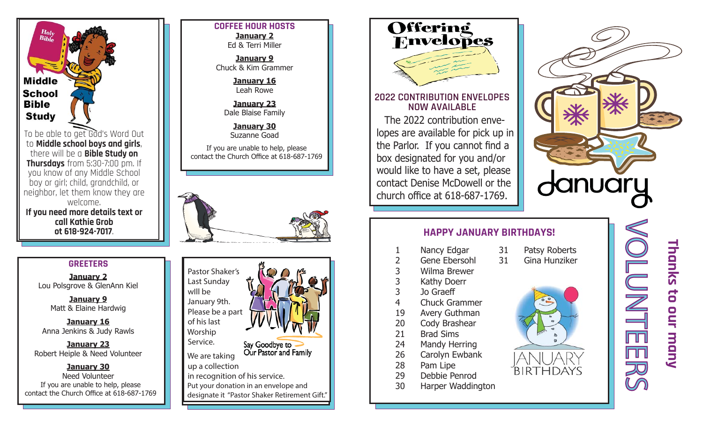

to **Middle school boys and girls**, there will be a **Bible Study on Thursdays** from 5:30-7:00 pm. If you know of any Middle School boy or girl; child, grandchild, or neighbor, let them know they are welcome. **If you need more details text or call Kathie Grob ot 618-924-7017**.

### **COFFEE HOUR HOSTSJanuary 2**

Ed & Terri Miller

**January 9** Chuck & Kim Grammer

> **January 16** Leah Rowe

**January 23** Dale Blaise Family

**January 30** Suzanne Goad

If you are unable to help, please contact the Church Office at 618-687-1769





**January 2** Lou Polsgrove & GlenAnn Kiel

> **January 9** Matt & Elaine Hardwig

**January 16** Anna Jenkins & Judy Rawls

**January 23** Robert Heiple & Need Volunteer

**January 30** Need Volunteercontact the Church Office at 618-687-1769





# **2022 CONTRIBUTION ENVELOPES NOW AVAILABLE**

The 2022 contribution envelopes are available for pick up in the Parlor. If you cannot find a box designated for you and/or would like to have a set, please contact Denise McDowell or the church office at 618-687-1769.



# **HAPPY JANUARY BIRTHDAYS!**

- 1 Nancy Edgar
- 2 Gene Ebersohl
- 3 Wilma Brewer
- 3 Kathy Doerr
- 3 Jo Graeff
- 4 Chuck Grammer19 Avery Guthman
- 20 Cody Brashear
- 21 Brad Sims
- 
- 24 Mandy Herring
- 26 Carolyn Ewbank
- 28 Pam Lipe
- 29 Debbie Penrod
- 30 Harper Waddington







**Thanks to our many** Thanks to our many